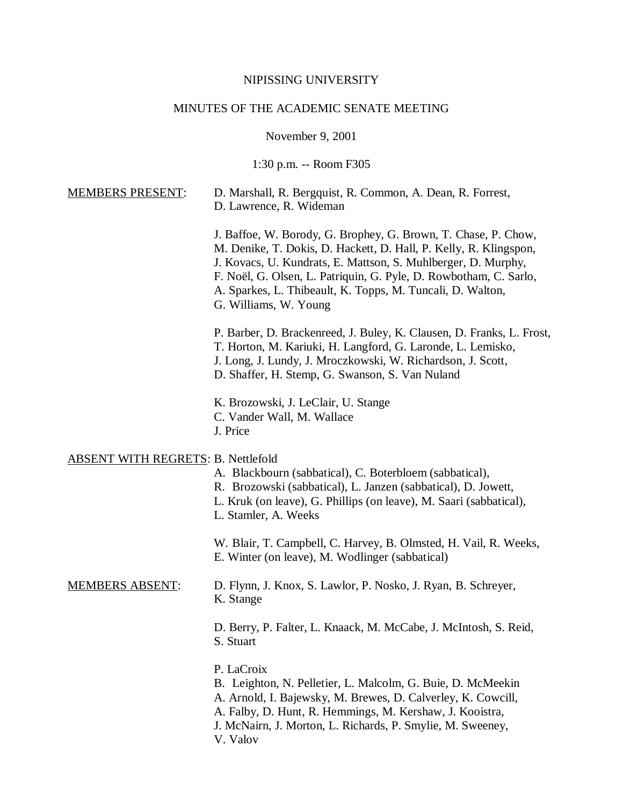#### NIPISSING UNIVERSITY

#### MINUTES OF THE ACADEMIC SENATE MEETING

November 9, 2001

1:30 p.m. -- Room F305

| <b>MEMBERS PRESENT:</b> | D. Marshall, R. Bergquist, R. Common, A. Dean, R. Forrest, |
|-------------------------|------------------------------------------------------------|
|                         | D. Lawrence, R. Wideman                                    |

J. Baffoe, W. Borody, G. Brophey, G. Brown, T. Chase, P. Chow, M. Denike, T. Dokis, D. Hackett, D. Hall, P. Kelly, R. Klingspon, J. Kovacs, U. Kundrats, E. Mattson, S. Muhlberger, D. Murphy, F. Noël, G. Olsen, L. Patriquin, G. Pyle, D. Rowbotham, C. Sarlo, A. Sparkes, L. Thibeault, K. Topps, M. Tuncali, D. Walton, G. Williams, W. Young

P. Barber, D. Brackenreed, J. Buley, K. Clausen, D. Franks, L. Frost, T. Horton, M. Kariuki, H. Langford, G. Laronde, L. Lemisko, J. Long, J. Lundy, J. Mroczkowski, W. Richardson, J. Scott, D. Shaffer, H. Stemp, G. Swanson, S. Van Nuland

K. Brozowski, J. LeClair, U. Stange C. Vander Wall, M. Wallace J. Price

#### ABSENT WITH REGRETS: B. Nettlefold

A. Blackbourn (sabbatical), C. Boterbloem (sabbatical), R. Brozowski (sabbatical), L. Janzen (sabbatical), D. Jowett, L. Kruk (on leave), G. Phillips (on leave), M. Saari (sabbatical), L. Stamler, A. Weeks W. Blair, T. Campbell, C. Harvey, B. Olmsted, H. Vail, R. Weeks, E. Winter (on leave), M. Wodlinger (sabbatical) MEMBERS ABSENT: D. Flynn, J. Knox, S. Lawlor, P. Nosko, J. Ryan, B. Schreyer, K. Stange D. Berry, P. Falter, L. Knaack, M. McCabe, J. McIntosh, S. Reid, S. Stuart P. LaCroix B. Leighton, N. Pelletier, L. Malcolm, G. Buie, D. McMeekin A. Arnold, I. Bajewsky, M. Brewes, D. Calverley, K. Cowcill, A. Falby, D. Hunt, R. Hemmings, M. Kershaw, J. Kooistra, J. McNairn, J. Morton, L. Richards, P. Smylie, M. Sweeney,

V. Valov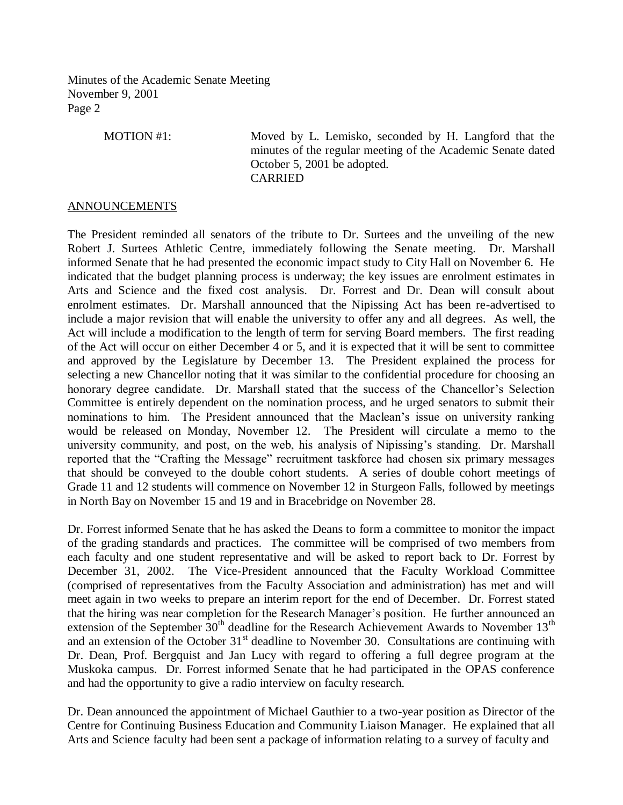MOTION #1: Moved by L. Lemisko, seconded by H. Langford that the minutes of the regular meeting of the Academic Senate dated October 5, 2001 be adopted. CARRIED

## ANNOUNCEMENTS

The President reminded all senators of the tribute to Dr. Surtees and the unveiling of the new Robert J. Surtees Athletic Centre, immediately following the Senate meeting. Dr. Marshall informed Senate that he had presented the economic impact study to City Hall on November 6. He indicated that the budget planning process is underway; the key issues are enrolment estimates in Arts and Science and the fixed cost analysis. Dr. Forrest and Dr. Dean will consult about enrolment estimates. Dr. Marshall announced that the Nipissing Act has been re-advertised to include a major revision that will enable the university to offer any and all degrees. As well, the Act will include a modification to the length of term for serving Board members. The first reading of the Act will occur on either December 4 or 5, and it is expected that it will be sent to committee and approved by the Legislature by December 13. The President explained the process for selecting a new Chancellor noting that it was similar to the confidential procedure for choosing an honorary degree candidate. Dr. Marshall stated that the success of the Chancellor's Selection Committee is entirely dependent on the nomination process, and he urged senators to submit their nominations to him. The President announced that the Maclean's issue on university ranking would be released on Monday, November 12. The President will circulate a memo to the university community, and post, on the web, his analysis of Nipissing's standing. Dr. Marshall reported that the "Crafting the Message" recruitment taskforce had chosen six primary messages that should be conveyed to the double cohort students. A series of double cohort meetings of Grade 11 and 12 students will commence on November 12 in Sturgeon Falls, followed by meetings in North Bay on November 15 and 19 and in Bracebridge on November 28.

Dr. Forrest informed Senate that he has asked the Deans to form a committee to monitor the impact of the grading standards and practices. The committee will be comprised of two members from each faculty and one student representative and will be asked to report back to Dr. Forrest by December 31, 2002. The Vice-President announced that the Faculty Workload Committee (comprised of representatives from the Faculty Association and administration) has met and will meet again in two weeks to prepare an interim report for the end of December. Dr. Forrest stated that the hiring was near completion for the Research Manager's position. He further announced an extension of the September  $30<sup>th</sup>$  deadline for the Research Achievement Awards to November  $13<sup>th</sup>$ and an extension of the October  $31<sup>st</sup>$  deadline to November 30. Consultations are continuing with Dr. Dean, Prof. Bergquist and Jan Lucy with regard to offering a full degree program at the Muskoka campus. Dr. Forrest informed Senate that he had participated in the OPAS conference and had the opportunity to give a radio interview on faculty research.

Dr. Dean announced the appointment of Michael Gauthier to a two-year position as Director of the Centre for Continuing Business Education and Community Liaison Manager. He explained that all Arts and Science faculty had been sent a package of information relating to a survey of faculty and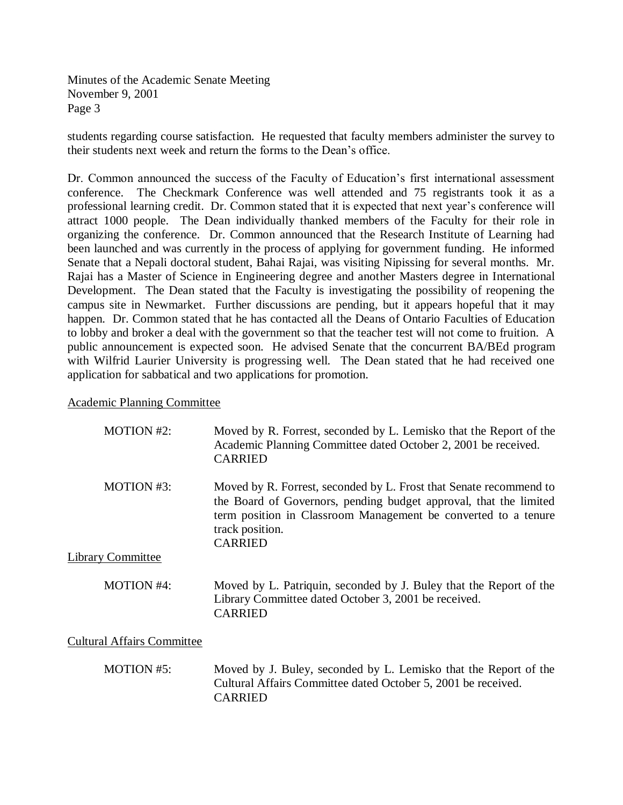students regarding course satisfaction. He requested that faculty members administer the survey to their students next week and return the forms to the Dean's office.

Dr. Common announced the success of the Faculty of Education's first international assessment conference. The Checkmark Conference was well attended and 75 registrants took it as a professional learning credit. Dr. Common stated that it is expected that next year's conference will attract 1000 people. The Dean individually thanked members of the Faculty for their role in organizing the conference. Dr. Common announced that the Research Institute of Learning had been launched and was currently in the process of applying for government funding. He informed Senate that a Nepali doctoral student, Bahai Rajai, was visiting Nipissing for several months. Mr. Rajai has a Master of Science in Engineering degree and another Masters degree in International Development. The Dean stated that the Faculty is investigating the possibility of reopening the campus site in Newmarket. Further discussions are pending, but it appears hopeful that it may happen. Dr. Common stated that he has contacted all the Deans of Ontario Faculties of Education to lobby and broker a deal with the government so that the teacher test will not come to fruition. A public announcement is expected soon. He advised Senate that the concurrent BA/BEd program with Wilfrid Laurier University is progressing well. The Dean stated that he had received one application for sabbatical and two applications for promotion.

### Academic Planning Committee

| <b>MOTION #2:</b>                 | Moved by R. Forrest, seconded by L. Lemisko that the Report of the<br>Academic Planning Committee dated October 2, 2001 be received.<br><b>CARRIED</b>                                                                                         |
|-----------------------------------|------------------------------------------------------------------------------------------------------------------------------------------------------------------------------------------------------------------------------------------------|
| <b>MOTION #3:</b>                 | Moved by R. Forrest, seconded by L. Frost that Senate recommend to<br>the Board of Governors, pending budget approval, that the limited<br>term position in Classroom Management be converted to a tenure<br>track position.<br><b>CARRIED</b> |
| <b>Library Committee</b>          |                                                                                                                                                                                                                                                |
| <b>MOTION #4:</b>                 | Moved by L. Patriquin, seconded by J. Buley that the Report of the<br>Library Committee dated October 3, 2001 be received.<br><b>CARRIED</b>                                                                                                   |
| <b>Cultural Affairs Committee</b> |                                                                                                                                                                                                                                                |
| <b>MOTION #5:</b>                 | Moved by J. Buley, seconded by L. Lemisko that the Report of the<br>Cultural Affairs Committee dated October 5, 2001 be received.                                                                                                              |

CARRIED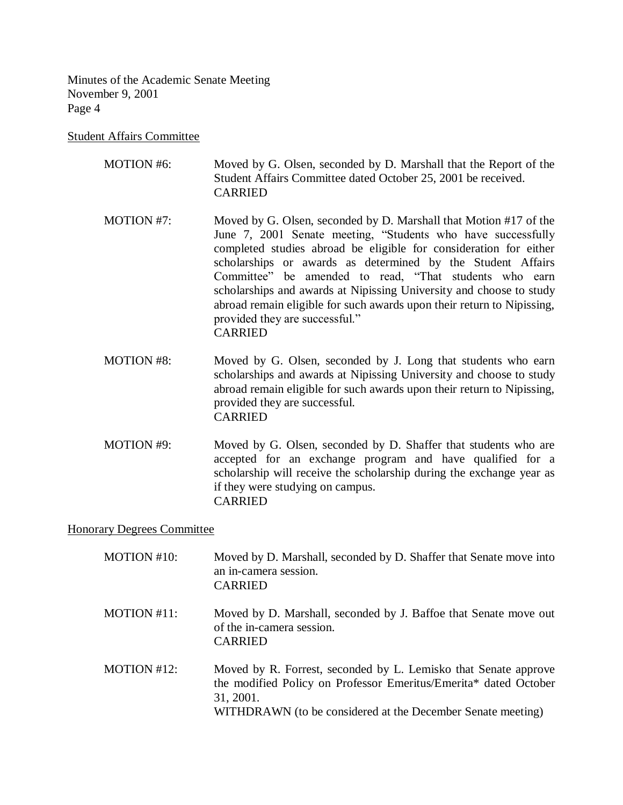Student Affairs Committee

| MOTION #6: | Moved by G. Olsen, seconded by D. Marshall that the Report of the |
|------------|-------------------------------------------------------------------|
|            | Student Affairs Committee dated October 25, 2001 be received.     |
|            | <b>CARRIED</b>                                                    |

- MOTION #7: Moved by G. Olsen, seconded by D. Marshall that Motion #17 of the June 7, 2001 Senate meeting, "Students who have successfully completed studies abroad be eligible for consideration for either scholarships or awards as determined by the Student Affairs Committee" be amended to read, "That students who earn scholarships and awards at Nipissing University and choose to study abroad remain eligible for such awards upon their return to Nipissing, provided they are successful." CARRIED
- MOTION #8: Moved by G. Olsen, seconded by J. Long that students who earn scholarships and awards at Nipissing University and choose to study abroad remain eligible for such awards upon their return to Nipissing, provided they are successful. CARRIED
- MOTION #9: Moved by G. Olsen, seconded by D. Shaffer that students who are accepted for an exchange program and have qualified for a scholarship will receive the scholarship during the exchange year as if they were studying on campus. CARRIED

Honorary Degrees Committee

| MOTION #10:    | Moved by D. Marshall, seconded by D. Shaffer that Senate move into<br>an in-camera session.<br><b>CARRIED</b>                                                                                                   |
|----------------|-----------------------------------------------------------------------------------------------------------------------------------------------------------------------------------------------------------------|
| $MOTION #11$ : | Moved by D. Marshall, seconded by J. Baffoe that Senate move out<br>of the in-camera session.<br><b>CARRIED</b>                                                                                                 |
| MOTION #12:    | Moved by R. Forrest, seconded by L. Lemisko that Senate approve<br>the modified Policy on Professor Emeritus/Emerita* dated October<br>31, 2001.<br>WITHDRAWN (to be considered at the December Senate meeting) |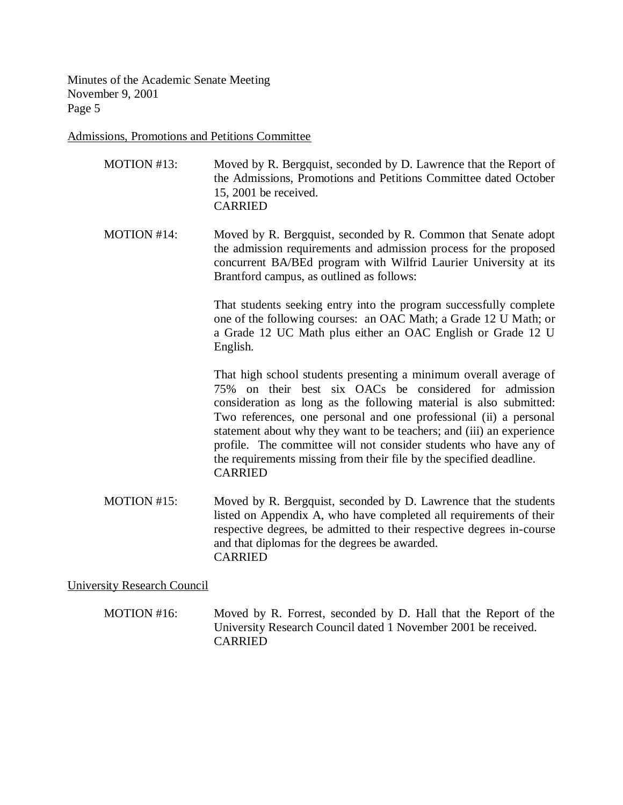Admissions, Promotions and Petitions Committee

- MOTION #13: Moved by R. Bergquist, seconded by D. Lawrence that the Report of the Admissions, Promotions and Petitions Committee dated October 15, 2001 be received. CARRIED
- MOTION #14: Moved by R. Bergquist, seconded by R. Common that Senate adopt the admission requirements and admission process for the proposed concurrent BA/BEd program with Wilfrid Laurier University at its Brantford campus, as outlined as follows:

That students seeking entry into the program successfully complete one of the following courses: an OAC Math; a Grade 12 U Math; or a Grade 12 UC Math plus either an OAC English or Grade 12 U English.

That high school students presenting a minimum overall average of 75% on their best six OACs be considered for admission consideration as long as the following material is also submitted: Two references, one personal and one professional (ii) a personal statement about why they want to be teachers; and (iii) an experience profile. The committee will not consider students who have any of the requirements missing from their file by the specified deadline. CARRIED

MOTION #15: Moved by R. Bergquist, seconded by D. Lawrence that the students listed on Appendix A, who have completed all requirements of their respective degrees, be admitted to their respective degrees in-course and that diplomas for the degrees be awarded. CARRIED

University Research Council

MOTION #16: Moved by R. Forrest, seconded by D. Hall that the Report of the University Research Council dated 1 November 2001 be received. CARRIED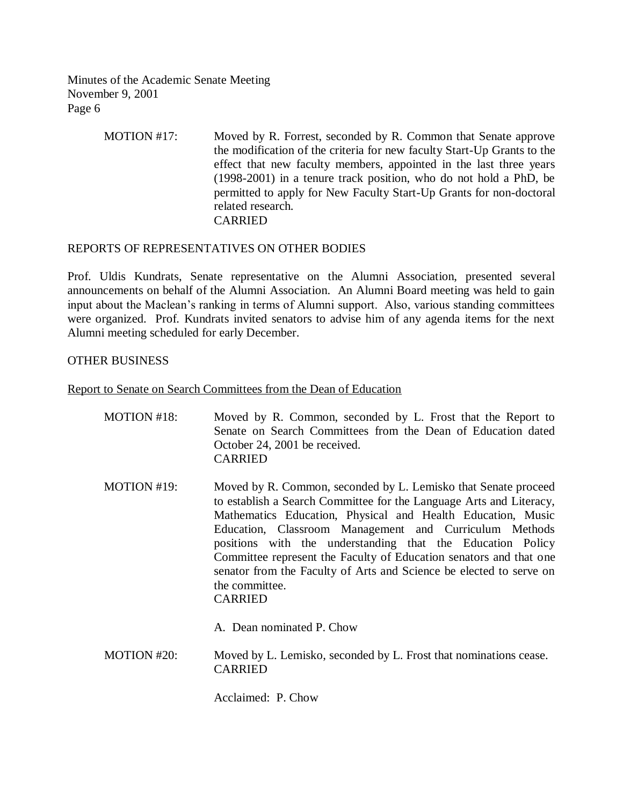> MOTION #17: Moved by R. Forrest, seconded by R. Common that Senate approve the modification of the criteria for new faculty Start-Up Grants to the effect that new faculty members, appointed in the last three years (1998-2001) in a tenure track position, who do not hold a PhD, be permitted to apply for New Faculty Start-Up Grants for non-doctoral related research. CARRIED

# REPORTS OF REPRESENTATIVES ON OTHER BODIES

Prof. Uldis Kundrats, Senate representative on the Alumni Association, presented several announcements on behalf of the Alumni Association. An Alumni Board meeting was held to gain input about the Maclean's ranking in terms of Alumni support. Also, various standing committees were organized. Prof. Kundrats invited senators to advise him of any agenda items for the next Alumni meeting scheduled for early December.

## OTHER BUSINESS

Report to Senate on Search Committees from the Dean of Education

| MOTION #18: | Moved by R. Common, seconded by L. Frost that the Report to<br>Senate on Search Committees from the Dean of Education dated<br>October 24, 2001 be received.<br><b>CARRIED</b>                                                                                                                                                                                                                                                                                                                                                             |
|-------------|--------------------------------------------------------------------------------------------------------------------------------------------------------------------------------------------------------------------------------------------------------------------------------------------------------------------------------------------------------------------------------------------------------------------------------------------------------------------------------------------------------------------------------------------|
| MOTION #19: | Moved by R. Common, seconded by L. Lemisko that Senate proceed<br>to establish a Search Committee for the Language Arts and Literacy,<br>Mathematics Education, Physical and Health Education, Music<br>Education, Classroom Management and Curriculum Methods<br>positions with the understanding that the Education Policy<br>Committee represent the Faculty of Education senators and that one<br>senator from the Faculty of Arts and Science be elected to serve on<br>the committee.<br><b>CARRIED</b><br>A. Dean nominated P. Chow |
| MOTION #20: | Moved by L. Lemisko, seconded by L. Frost that nominations cease.<br><b>CARRIED</b>                                                                                                                                                                                                                                                                                                                                                                                                                                                        |

Acclaimed: P. Chow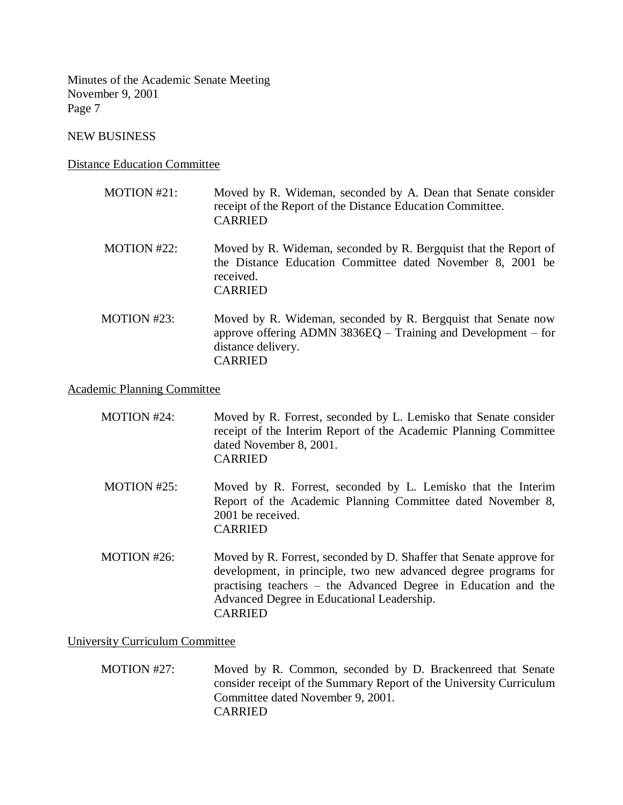NEW BUSINESS

Distance Education Committee

- MOTION #21: Moved by R. Wideman, seconded by A. Dean that Senate consider receipt of the Report of the Distance Education Committee. CARRIED
- MOTION #22: Moved by R. Wideman, seconded by R. Bergquist that the Report of the Distance Education Committee dated November 8, 2001 be received. CARRIED
- MOTION #23: Moved by R. Wideman, seconded by R. Bergquist that Senate now approve offering ADMN 3836EQ – Training and Development – for distance delivery. CARRIED

# Academic Planning Committee

| MOTION $#24$ : | Moved by R. Forrest, seconded by L. Lemisko that Senate consider<br>receipt of the Interim Report of the Academic Planning Committee<br>dated November 8, 2001.<br><b>CARRIED</b>                                                                                        |
|----------------|--------------------------------------------------------------------------------------------------------------------------------------------------------------------------------------------------------------------------------------------------------------------------|
| MOTION #25:    | Moved by R. Forrest, seconded by L. Lemisko that the Interim<br>Report of the Academic Planning Committee dated November 8,<br>2001 be received.<br><b>CARRIED</b>                                                                                                       |
| MOTION $#26$ : | Moved by R. Forrest, seconded by D. Shaffer that Senate approve for<br>development, in principle, two new advanced degree programs for<br>practising teachers – the Advanced Degree in Education and the<br>Advanced Degree in Educational Leadership.<br><b>CARRIED</b> |

### University Curriculum Committee

 MOTION #27: Moved by R. Common, seconded by D. Brackenreed that Senate consider receipt of the Summary Report of the University Curriculum Committee dated November 9, 2001. CARRIED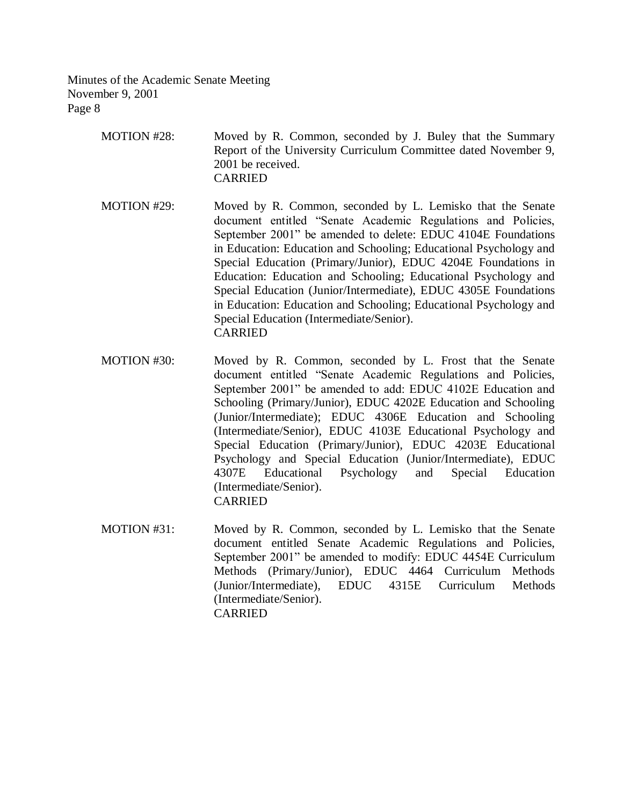| MOTION #28: | Moved by R. Common, seconded by J. Buley that the Summary       |
|-------------|-----------------------------------------------------------------|
|             | Report of the University Curriculum Committee dated November 9, |
|             | 2001 be received.                                               |
|             | <b>CARRIED</b>                                                  |

 MOTION #29: Moved by R. Common, seconded by L. Lemisko that the Senate document entitled "Senate Academic Regulations and Policies, September 2001" be amended to delete: EDUC 4104E Foundations in Education: Education and Schooling; Educational Psychology and Special Education (Primary/Junior), EDUC 4204E Foundations in Education: Education and Schooling; Educational Psychology and Special Education (Junior/Intermediate), EDUC 4305E Foundations in Education: Education and Schooling; Educational Psychology and Special Education (Intermediate/Senior). CARRIED

- MOTION #30: Moved by R. Common, seconded by L. Frost that the Senate document entitled "Senate Academic Regulations and Policies, September 2001" be amended to add: EDUC 4102E Education and Schooling (Primary/Junior), EDUC 4202E Education and Schooling (Junior/Intermediate); EDUC 4306E Education and Schooling (Intermediate/Senior), EDUC 4103E Educational Psychology and Special Education (Primary/Junior), EDUC 4203E Educational Psychology and Special Education (Junior/Intermediate), EDUC 4307E Educational Psychology and Special Education (Intermediate/Senior). CARRIED
- MOTION #31: Moved by R. Common, seconded by L. Lemisko that the Senate document entitled Senate Academic Regulations and Policies, September 2001" be amended to modify: EDUC 4454E Curriculum Methods (Primary/Junior), EDUC 4464 Curriculum Methods (Junior/Intermediate), EDUC 4315E Curriculum Methods (Intermediate/Senior). CARRIED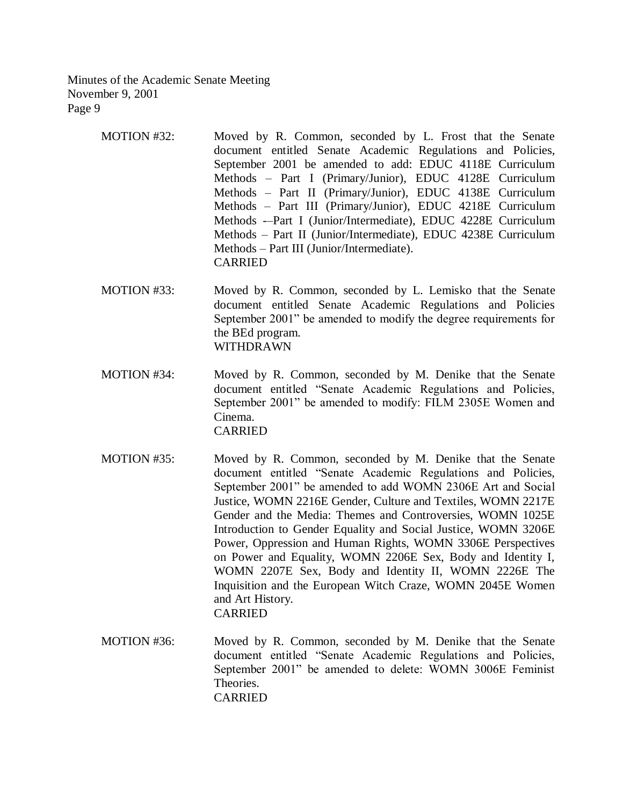- MOTION #32: Moved by R. Common, seconded by L. Frost that the Senate document entitled Senate Academic Regulations and Policies, September 2001 be amended to add: EDUC 4118E Curriculum Methods – Part I (Primary/Junior), EDUC 4128E Curriculum Methods – Part II (Primary/Junior), EDUC 4138E Curriculum Methods – Part III (Primary/Junior), EDUC 4218E Curriculum Methods -–Part I (Junior/Intermediate), EDUC 4228E Curriculum Methods – Part II (Junior/Intermediate), EDUC 4238E Curriculum Methods – Part III (Junior/Intermediate). CARRIED
- MOTION #33: Moved by R. Common, seconded by L. Lemisko that the Senate document entitled Senate Academic Regulations and Policies September 2001" be amended to modify the degree requirements for the BEd program. WITHDRAWN
- MOTION #34: Moved by R. Common, seconded by M. Denike that the Senate document entitled "Senate Academic Regulations and Policies, September 2001" be amended to modify: FILM 2305E Women and Cinema. CARRIED
- MOTION #35: Moved by R. Common, seconded by M. Denike that the Senate document entitled "Senate Academic Regulations and Policies, September 2001" be amended to add WOMN 2306E Art and Social Justice, WOMN 2216E Gender, Culture and Textiles, WOMN 2217E Gender and the Media: Themes and Controversies, WOMN 1025E Introduction to Gender Equality and Social Justice, WOMN 3206E Power, Oppression and Human Rights, WOMN 3306E Perspectives on Power and Equality, WOMN 2206E Sex, Body and Identity I, WOMN 2207E Sex, Body and Identity II, WOMN 2226E The Inquisition and the European Witch Craze, WOMN 2045E Women and Art History. CARRIED
- MOTION #36: Moved by R. Common, seconded by M. Denike that the Senate document entitled "Senate Academic Regulations and Policies, September 2001" be amended to delete: WOMN 3006E Feminist Theories. CARRIED